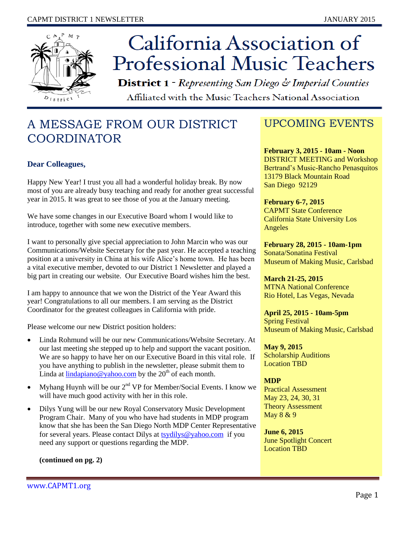

# California Association of **Professional Music Teachers**

**District 1** - Representing San Diego & Imperial Counties Affiliated with the Music Teachers National Association

# A MESSAGE FROM OUR DISTRICT COORDINATOR

#### **Dear Colleagues,**

Happy New Year! I trust you all had a wonderful holiday break. By now most of you are already busy teaching and ready for another great successful year in 2015. It was great to see those of you at the January meeting.

We have some changes in our Executive Board whom I would like to introduce, together with some new executive members.

I want to personally give special appreciation to John Marcin who was our Communications/Website Secretary for the past year. He accepted a teaching position at a university in China at his wife Alice's home town. He has been a vital executive member, devoted to our District 1 Newsletter and played a big part in creating our website. Our Executive Board wishes him the best.

I am happy to announce that we won the District of the Year Award this year! Congratulations to all our members. I am serving as the District Coordinator for the greatest colleagues in California with pride.

Please welcome our new District position holders:

- Linda Rohmund will be our new Communications/Website Secretary. At our last meeting she stepped up to help and support the vacant position. We are so happy to have her on our Executive Board in this vital role. If you have anything to publish in the newsletter, please submit them to Linda at  $\lim_{\alpha \to 0} \frac{\partial \phi}{\partial \alpha}$  by the  $20^{\text{th}}$  of each month.
- Myhang Huynh will be our  $2<sup>nd</sup> VP$  for Member/Social Events. I know we will have much good activity with her in this role.
- Dilys Yung will be our new Royal Conservatory Music Development Program Chair. Many of you who have had students in MDP program know that she has been the San Diego North MDP Center Representative for several years. Please contact Dilys at [tsydilys@yahoo.com](mailto:tsydilys@yahoo.com) if you need any support or questions regarding the MDP.

**(continued on pg. 2)**

# UPCOMING EVENTS

**February 3, 2015 - 10am - Noon** DISTRICT MEETING and Workshop Bertrand's Music-Rancho Penasquitos 13179 Black Mountain Road San Diego 92129

**February 6-7, 2015** CAPMT State Conference California State University Los Angeles

**February 28, 2015 - 10am-1pm** Sonata/Sonatina Festival Museum of Making Music, Carlsbad

**March 21-25, 2015** MTNA National Conference Rio Hotel, Las Vegas, Nevada

**April 25, 2015 - 10am-5pm** Spring Festival Museum of Making Music, Carlsbad

**May 9, 2015** Scholarship Auditions Location TBD

#### **MDP**

Practical Assessment May 23, 24, 30, 31 Theory Assessment May 8 & 9

**June 6, 2015** June Spotlight Concert Location TBD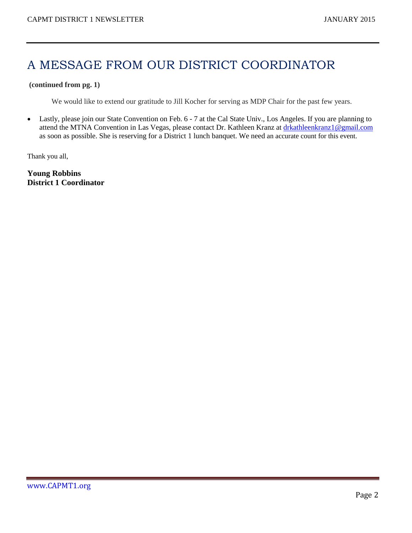# A MESSAGE FROM OUR DISTRICT COORDINATOR

#### **(continued from pg. 1)**

We would like to extend our gratitude to Jill Kocher for serving as MDP Chair for the past few years.

 Lastly, please join our State Convention on Feb. 6 - 7 at the Cal State Univ., Los Angeles. If you are planning to attend the MTNA Convention in Las Vegas, please contact Dr. Kathleen Kranz at [drkathleenkranz1@gmail.com](mailto:drkathleenkranz1@gmail.com) as soon as possible. She is reserving for a District 1 lunch banquet. We need an accurate count for this event.

Thank you all,

**Young Robbins District 1 Coordinator**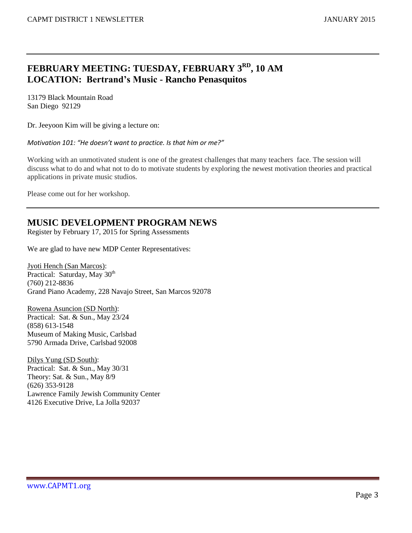## **FEBRUARY MEETING: TUESDAY, FEBRUARY 3RD , 10 AM LOCATION: Bertrand's Music - Rancho Penasquitos**

13179 Black Mountain Road San Diego 92129

Dr. Jeeyoon Kim will be giving a lecture on:

*Motivation 101: "He doesn't want to practice. Is that him or me?"*

Working with an unmotivated student is one of the greatest challenges that many teachers face. The session will discuss what to do and what not to do to motivate students by exploring the newest motivation theories and practical applications in private music studios.

Please come out for her workshop.

### **MUSIC DEVELOPMENT PROGRAM NEWS**

Register by February 17, 2015 for Spring Assessments

We are glad to have new MDP Center Representatives:

Jyoti Hench (San Marcos): Practical: Saturday, May 30<sup>th</sup> (760) 212-8836 Grand Piano Academy, 228 Navajo Street, San Marcos 92078

Rowena Asuncion (SD North): Practical: Sat. & Sun., May 23/24 (858) 613-1548 Museum of Making Music, Carlsbad 5790 Armada Drive, Carlsbad 92008

Dilys Yung (SD South): Practical: Sat. & Sun., May 30/31 Theory: Sat. & Sun., May 8/9 (626) 353-9128 Lawrence Family Jewish Community Center 4126 Executive Drive, La Jolla 92037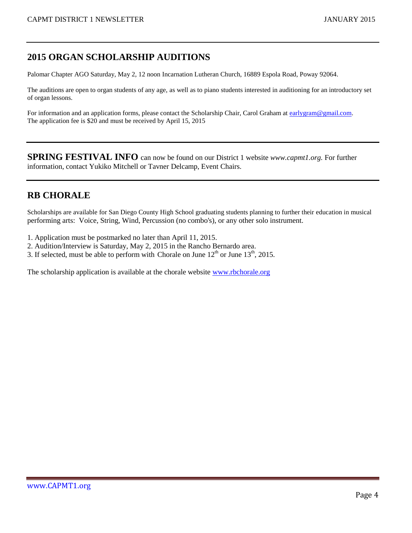## **2015 ORGAN SCHOLARSHIP AUDITIONS**

Palomar Chapter AGO Saturday, May 2, 12 noon Incarnation Lutheran Church, 16889 Espola Road, Poway 92064.

The auditions are open to organ students of any age, as well as to piano students interested in auditioning for an introductory set of organ lessons.

For information and an application forms, please contact the Scholarship Chair, Carol Graham at [earlygram@gmail.com.](mailto:earlygram@gmail.com) The application fee is \$20 and must be received by April 15, 2015

**SPRING FESTIVAL INFO** can now be found on our District 1 website *www.capmt1.org.* For further information, contact Yukiko Mitchell or Tavner Delcamp, Event Chairs.

# **RB CHORALE**

Scholarships are available for San Diego County High School graduating students planning to further their education in musical performing arts: Voice, String, Wind, Percussion (no combo's), or any other solo instrument.

- 1. Application must be postmarked no later than April 11, 2015.
- 2. Audition/Interview is Saturday, May 2, 2015 in the Rancho Bernardo area.
- 3. If selected, must be able to perform with Chorale on June  $12<sup>th</sup>$  or June  $13<sup>th</sup>$ , 2015.

The scholarship application is available at the chorale website [www.rbchorale.org](http://www.rbchorale.org/)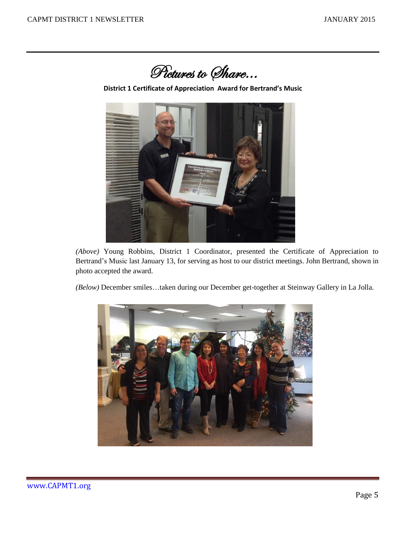

**District 1 Certificate of Appreciation Award for Bertrand's Music**



*(Above)* Young Robbins, District 1 Coordinator, presented the Certificate of Appreciation to Bertrand's Music last January 13, for serving as host to our district meetings. John Bertrand, shown in photo accepted the award.

*(Below)* December smiles…taken during our December get-together at Steinway Gallery in La Jolla.